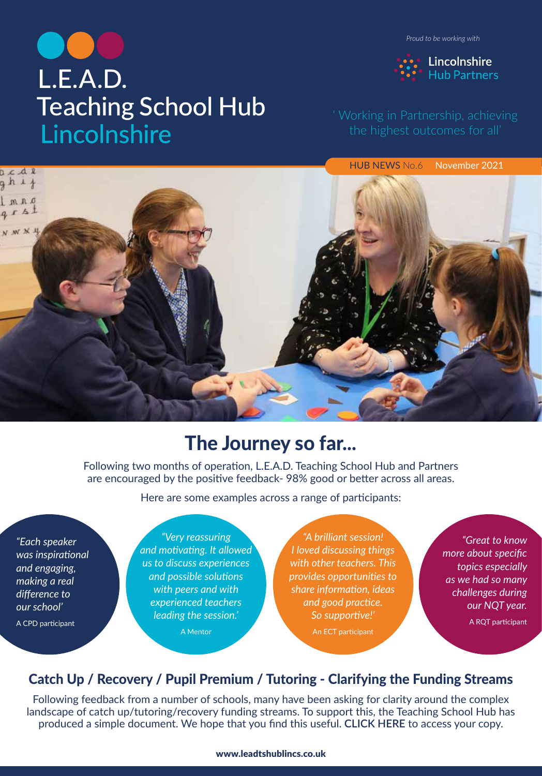## L.E.A.D. **Teaching School Hub** Lincolnshire

*Proud to be working with*



the highest outcomes for all'

HUB NEWS No.6 November 2021



## The Journey so far...

Following two months of operation, L.E.A.D. Teaching School Hub and Partners are encouraged by the positive feedback- 98% good or better across all areas.

Here are some examples across a range of participants:

*"Each speaker was inspirational and engaging, making a real difference to our school'*

A CPD participant

*"Very reassuring and motivating. It allowed us to discuss experiences and possible solutions with peers and with experienced teachers leading the session.'*

A Mentor

*"A brilliant session! I loved discussing things with other teachers. This provides opportunities to share information, ideas and good practice. So supportive!'*

An ECT participant

*"Great to know more about specific topics especially as we had so many challenges during our NQT year.*

A RQT participant

### Catch Up / Recovery / Pupil Premium / Tutoring - Cla[rifying the Funding Streams](https://drive.google.com/file/d/1vgMofQtLwPcyu-5i6cd5j9RWjTuY9W7x/view)

Following feedback from a number of schools, many have been asking for clarity around the complex landscape of catch up/tutoring/recovery funding streams. To support this, the Teaching School Hub has produced a simple document. We hope that you find this useful. **CLICK HERE** to access your copy.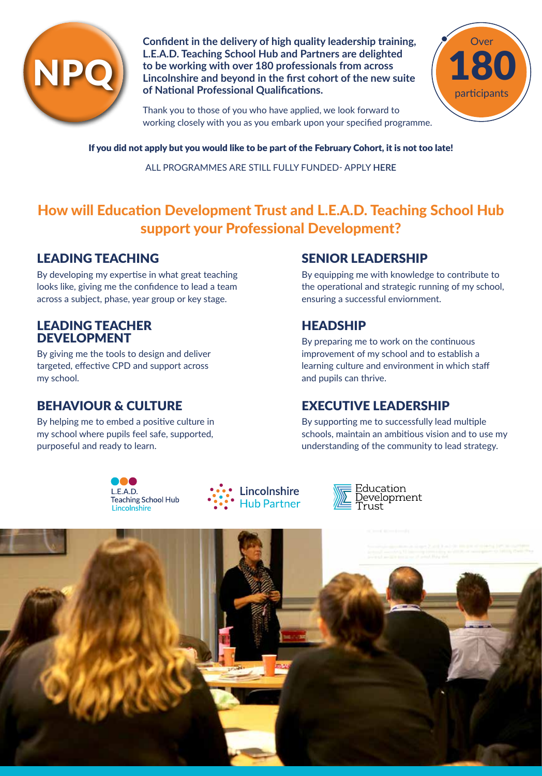

**Confident in the delivery of high quality leadership training, L.E.A.D. Teaching School Hub and Partners are delighted to be working with over 180 professionals from across Lincolnshire and beyond in the first cohort of the new suite of National Professional Qualifications.**



Thank you to those of you who have applied, we look forward to working closely with you as you embark upon your specified programme.

If you did not apply but you would like to be part of the February Cohort, it is not too late!

ALL PROGRAMMES ARE STILL FULLY FUNDED- APPLY **HERE**

## How will Education [Development Trust and L.E.A.D. Teaching](https://www.leadtshublincs.co.uk/page/?title=NPQ+Programmes&pid=23) School Hub support your Professional Development?

## LEADING TEACHING

By developing my expertise in what great teaching looks like, giving me the confidence to lead a team across a subject, phase, year group or key stage.

#### LEADING TEACHER DEVELOPMENT

By giving me the tools to design and deliver targeted, effective CPD and support across my school.

## BEHAVIOUR & CULTURE

By helping me to embed a positive culture in my school where pupils feel safe, supported, purposeful and ready to learn.

## SENIOR LEADERSHIP

By equipping me with knowledge to contribute to the operational and strategic running of my school, ensuring a successful enviornment.

## HEADSHIP

By preparing me to work on the continuous improvement of my school and to establish a learning culture and environment in which staff and pupils can thrive.

## EXECUTIVE LEADERSHIP

By supporting me to successfully lead multiple schools, maintain an ambitious vision and to use my understanding of the community to lead strategy.





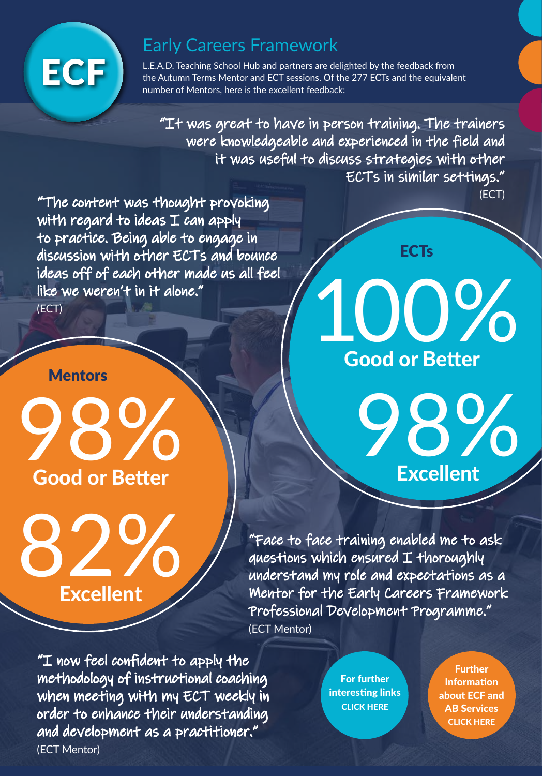## Early Careers Framework

**ECF BEA.D. Teaching School Hub and partners are delighted by the feedback from the Autumn Terms Mentor and ECT sessions. Of the 277 ECTs and the equivalent number of Mentors. here is the excellent feedback:** number of Mentors, here is the excellent feedback:

> "It was great to have in person training. The trainers were knowledgeable and experienced in the field and it was useful to discuss strategies with other ECTs in similar settings."

"The content was thought provoking with regard to ideas I can apply to practice. Being able to engage in discussion with other ECTs and bounce ideas off of each other made us all feel like we weren't in it alone." (ECT)

## **Mentors**





# 100% Good or Better **ECTs**

89

(ECT)

Excellent

"Face to face training enabled me to ask questions which ensured I thoroughly understand my role and expectations as a Mentor for the Early Careers Framework Professional Development Programme." (ECT Mentor)

"I now feel confident to apply the methodology of instructional coaching when meeting with my ECT weekly in order to enhance their understanding and development as a practitioner." (ECT Mentor)

For further [interesting links](https://my.chartered.college/2020/02/the-early-career-framework-useful-links/)  CLICK HERE

**Further** Information [about ECF and](https://www.leadtshublincs.co.uk/page/?title=ITT%2FEarly+Career%2FAB&pid=7)  AB Services CLICK HERE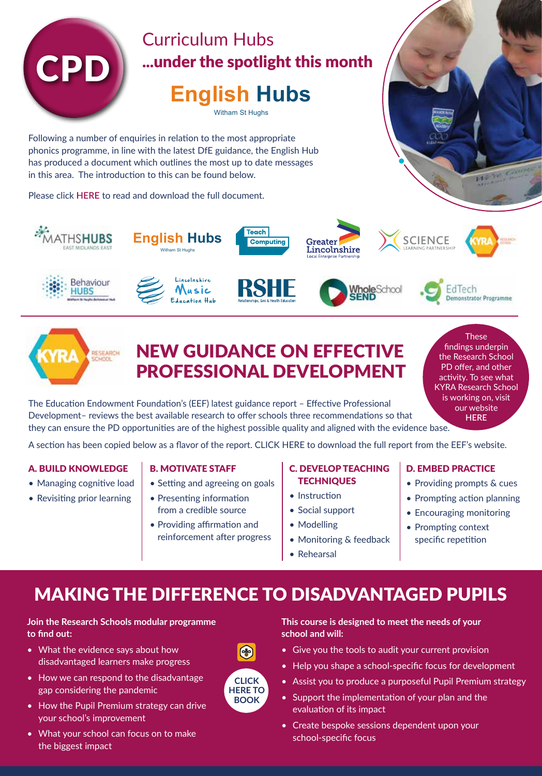



## NEW GUIDANCE ON EFFECTIVE PROFESSIONAL DEVELOPMENT

The Education Endowment Foundation's (EEF) latest guidance report – Effective Professional Development– reviews the best available research to offer schools three recommendations so that they can ensure the PD opportunities are of the hi[ghest possible quality and a](https://educationendowmentfoundation.org.uk/education-evidence/guidance-reports/effective-professional-development)ligned with the evidence base.

A section has been copied below as a flavor of the report. CLICK HERE to download the full report from the EEF's website.

#### A. BUILD KNOWLEDGE

- Managing cognitive load
- Revisiting prior learning

#### B. MOTIVATE STAFF

- Setting and agreeing on goals
- Presenting information from a credible source
- Providing affirmation and reinforcement after progress

#### C. DEVELOP TEACHING **TECHNIQUES**

- Instruction
- Social support
- Modelling
- Monitoring & feedback
- Rehearsal

#### D. EMBED PRACTICE

• Providing prompts & cues

**These** findings underpin the Research School PD offer, and other activity. To see what [KYRA Research School](https://researchschool.org.uk/kyra)  is working on, visit our website **HERE**

- Prompting action planning
- Encouraging monitoring
- Prompting context specific repetition

## MAKING THE DIFFERENCE TO DISADVANTAGED PUPILS

**Join the Research Schools modular programme to find out:**

- What the evidence says about how disadvantaged learners make progress
- How we can respond to the disadvantage gap considering the pandemic
- How the Pupil Premium strategy can drive your school's improvement
- What your school can focus on to make the biggest impact

**This course is designed to meet the needs of your [school and](https://event.bookitbee.com/34201/making-the-difference-for-disadvantaged-pupils-nor) will:**

- Give you the tools to audit your current provision
- Help you shape a school-specific focus for development
- Assist you to produce a purposeful Pupil Premium strategy
- Support the implementation of your plan and the evaluation of its impact
- Create bespoke sessions dependent upon your school-specific focus
- $\circledast$ **CLICK HERE TO BOOK**